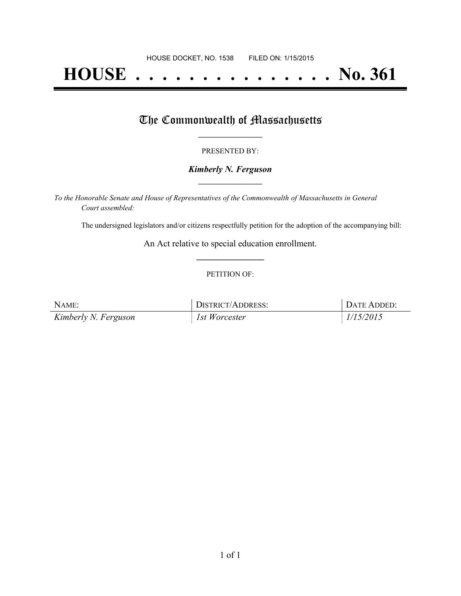# **HOUSE . . . . . . . . . . . . . . . No. 361**

## The Commonwealth of Massachusetts

#### PRESENTED BY:

#### *Kimberly N. Ferguson* **\_\_\_\_\_\_\_\_\_\_\_\_\_\_\_\_\_**

*To the Honorable Senate and House of Representatives of the Commonwealth of Massachusetts in General Court assembled:*

The undersigned legislators and/or citizens respectfully petition for the adoption of the accompanying bill:

An Act relative to special education enrollment. **\_\_\_\_\_\_\_\_\_\_\_\_\_\_\_**

#### PETITION OF:

| NAME:                | DISTRICT/ADDRESS: | DATE ADDED: |
|----------------------|-------------------|-------------|
| Kimberly N. Ferguson | 1st Worcester     | 1/15/2015   |